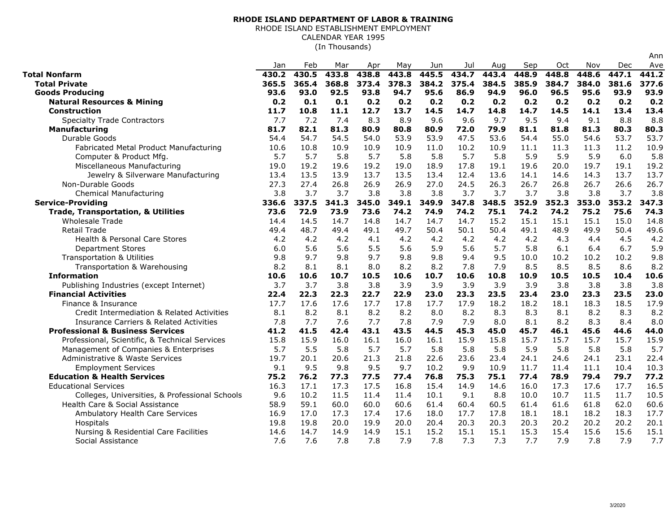## **RHODE ISLAND DEPARTMENT OF LABOR & TRAINING**

RHODE ISLAND ESTABLISHMENT EMPLOYMENT

CALENDAR YEAR 1995

(In Thousands)

|                                                    | Jan   | Feb   | Mar   | Apr   | May   | Jun   | Jul   | Aug   | Sep   | Oct   | Nov   | Dec   | Ave   |
|----------------------------------------------------|-------|-------|-------|-------|-------|-------|-------|-------|-------|-------|-------|-------|-------|
| <b>Total Nonfarm</b>                               | 430.2 | 430.5 | 433.8 | 438.8 | 443.8 | 445.5 | 434.7 | 443.4 | 448.9 | 448.8 | 448.6 | 447.1 | 441.2 |
| <b>Total Private</b>                               | 365.5 | 365.4 | 368.8 | 373.4 | 378.3 | 384.2 | 375.4 | 384.5 | 385.9 | 384.7 | 384.0 | 381.6 | 377.6 |
| <b>Goods Producing</b>                             | 93.6  | 93.0  | 92.5  | 93.8  | 94.7  | 95.6  | 86.9  | 94.9  | 96.0  | 96.5  | 95.6  | 93.9  | 93.9  |
| <b>Natural Resources &amp; Mining</b>              | 0.2   | 0.1   | 0.1   | 0.2   | 0.2   | 0.2   | 0.2   | 0.2   | 0.2   | 0.2   | 0.2   | 0.2   | 0.2   |
| <b>Construction</b>                                | 11.7  | 10.8  | 11.1  | 12.7  | 13.7  | 14.5  | 14.7  | 14.8  | 14.7  | 14.5  | 14.1  | 13.4  | 13.4  |
| <b>Specialty Trade Contractors</b>                 | 7.7   | 7.2   | 7.4   | 8.3   | 8.9   | 9.6   | 9.6   | 9.7   | 9.5   | 9.4   | 9.1   | 8.8   | 8.8   |
| Manufacturing                                      | 81.7  | 82.1  | 81.3  | 80.9  | 80.8  | 80.9  | 72.0  | 79.9  | 81.1  | 81.8  | 81.3  | 80.3  | 80.3  |
| Durable Goods                                      | 54.4  | 54.7  | 54.5  | 54.0  | 53.9  | 53.9  | 47.5  | 53.6  | 54.4  | 55.0  | 54.6  | 53.7  | 53.7  |
| Fabricated Metal Product Manufacturing             | 10.6  | 10.8  | 10.9  | 10.9  | 10.9  | 11.0  | 10.2  | 10.9  | 11.1  | 11.3  | 11.3  | 11.2  | 10.9  |
| Computer & Product Mfg.                            | 5.7   | 5.7   | 5.8   | 5.7   | 5.8   | 5.8   | 5.7   | 5.8   | 5.9   | 5.9   | 5.9   | 6.0   | 5.8   |
| Miscellaneous Manufacturing                        | 19.0  | 19.2  | 19.6  | 19.2  | 19.0  | 18.9  | 17.8  | 19.1  | 19.6  | 20.0  | 19.7  | 19.1  | 19.2  |
| Jewelry & Silverware Manufacturing                 | 13.4  | 13.5  | 13.9  | 13.7  | 13.5  | 13.4  | 12.4  | 13.6  | 14.1  | 14.6  | 14.3  | 13.7  | 13.7  |
| Non-Durable Goods                                  | 27.3  | 27.4  | 26.8  | 26.9  | 26.9  | 27.0  | 24.5  | 26.3  | 26.7  | 26.8  | 26.7  | 26.6  | 26.7  |
| <b>Chemical Manufacturing</b>                      | 3.8   | 3.7   | 3.7   | 3.8   | 3.8   | 3.8   | 3.7   | 3.7   | 3.7   | 3.8   | 3.8   | 3.7   | 3.8   |
| <b>Service-Providing</b>                           | 336.6 | 337.5 | 341.3 | 345.0 | 349.1 | 349.9 | 347.8 | 348.5 | 352.9 | 352.3 | 353.0 | 353.2 | 347.3 |
| <b>Trade, Transportation, &amp; Utilities</b>      | 73.6  | 72.9  | 73.9  | 73.6  | 74.2  | 74.9  | 74.2  | 75.1  | 74.2  | 74.2  | 75.2  | 75.6  | 74.3  |
| <b>Wholesale Trade</b>                             | 14.4  | 14.5  | 14.7  | 14.8  | 14.7  | 14.7  | 14.7  | 15.2  | 15.1  | 15.1  | 15.1  | 15.0  | 14.8  |
| <b>Retail Trade</b>                                | 49.4  | 48.7  | 49.4  | 49.1  | 49.7  | 50.4  | 50.1  | 50.4  | 49.1  | 48.9  | 49.9  | 50.4  | 49.6  |
| <b>Health &amp; Personal Care Stores</b>           | 4.2   | 4.2   | 4.2   | 4.1   | 4.2   | 4.2   | 4.2   | 4.2   | 4.2   | 4.3   | 4.4   | 4.5   | 4.2   |
| <b>Department Stores</b>                           | 6.0   | 5.6   | 5.6   | 5.5   | 5.6   | 5.9   | 5.6   | 5.7   | 5.8   | 6.1   | 6.4   | 6.7   | 5.9   |
| <b>Transportation &amp; Utilities</b>              | 9.8   | 9.7   | 9.8   | 9.7   | 9.8   | 9.8   | 9.4   | 9.5   | 10.0  | 10.2  | 10.2  | 10.2  | 9.8   |
| Transportation & Warehousing                       | 8.2   | 8.1   | 8.1   | 8.0   | 8.2   | 8.2   | 7.8   | 7.9   | 8.5   | 8.5   | 8.5   | 8.6   | 8.2   |
| <b>Information</b>                                 | 10.6  | 10.6  | 10.7  | 10.5  | 10.6  | 10.7  | 10.6  | 10.8  | 10.9  | 10.5  | 10.5  | 10.4  | 10.6  |
| Publishing Industries (except Internet)            | 3.7   | 3.7   | 3.8   | 3.8   | 3.9   | 3.9   | 3.9   | 3.9   | 3.9   | 3.8   | 3.8   | 3.8   | 3.8   |
| <b>Financial Activities</b>                        | 22.4  | 22.3  | 22.3  | 22.7  | 22.9  | 23.0  | 23.3  | 23.5  | 23.4  | 23.0  | 23.3  | 23.5  | 23.0  |
| Finance & Insurance                                | 17.7  | 17.6  | 17.6  | 17.7  | 17.8  | 17.7  | 17.9  | 18.2  | 18.2  | 18.1  | 18.3  | 18.5  | 17.9  |
| Credit Intermediation & Related Activities         | 8.1   | 8.2   | 8.1   | 8.2   | 8.2   | 8.0   | 8.2   | 8.3   | 8.3   | 8.1   | 8.2   | 8.3   | 8.2   |
| <b>Insurance Carriers &amp; Related Activities</b> | 7.8   | 7.7   | 7.6   | 7.7   | 7.8   | 7.9   | 7.9   | 8.0   | 8.1   | 8.2   | 8.3   | 8.4   | 8.0   |
| <b>Professional &amp; Business Services</b>        | 41.2  | 41.5  | 42.4  | 43.1  | 43.5  | 44.5  | 45.3  | 45.0  | 45.7  | 46.1  | 45.6  | 44.6  | 44.0  |
| Professional, Scientific, & Technical Services     | 15.8  | 15.9  | 16.0  | 16.1  | 16.0  | 16.1  | 15.9  | 15.8  | 15.7  | 15.7  | 15.7  | 15.7  | 15.9  |
| Management of Companies & Enterprises              | 5.7   | 5.5   | 5.8   | 5.7   | 5.7   | 5.8   | 5.8   | 5.8   | 5.9   | 5.8   | 5.8   | 5.8   | 5.7   |
| Administrative & Waste Services                    | 19.7  | 20.1  | 20.6  | 21.3  | 21.8  | 22.6  | 23.6  | 23.4  | 24.1  | 24.6  | 24.1  | 23.1  | 22.4  |
| <b>Employment Services</b>                         | 9.1   | 9.5   | 9.8   | 9.5   | 9.7   | 10.2  | 9.9   | 10.9  | 11.7  | 11.4  | 11.1  | 10.4  | 10.3  |
| <b>Education &amp; Health Services</b>             | 75.2  | 76.2  | 77.3  | 77.5  | 77.4  | 76.8  | 75.3  | 75.1  | 77.4  | 78.9  | 79.4  | 79.7  | 77.2  |
| <b>Educational Services</b>                        | 16.3  | 17.1  | 17.3  | 17.5  | 16.8  | 15.4  | 14.9  | 14.6  | 16.0  | 17.3  | 17.6  | 17.7  | 16.5  |
| Colleges, Universities, & Professional Schools     | 9.6   | 10.2  | 11.5  | 11.4  | 11.4  | 10.1  | 9.1   | 8.8   | 10.0  | 10.7  | 11.5  | 11.7  | 10.5  |
| Health Care & Social Assistance                    | 58.9  | 59.1  | 60.0  | 60.0  | 60.6  | 61.4  | 60.4  | 60.5  | 61.4  | 61.6  | 61.8  | 62.0  | 60.6  |
| Ambulatory Health Care Services                    | 16.9  | 17.0  | 17.3  | 17.4  | 17.6  | 18.0  | 17.7  | 17.8  | 18.1  | 18.1  | 18.2  | 18.3  | 17.7  |
| Hospitals                                          | 19.8  | 19.8  | 20.0  | 19.9  | 20.0  | 20.4  | 20.3  | 20.3  | 20.3  | 20.2  | 20.2  | 20.2  | 20.1  |
| Nursing & Residential Care Facilities              | 14.6  | 14.7  | 14.9  | 14.9  | 15.1  | 15.2  | 15.1  | 15.1  | 15.3  | 15.4  | 15.6  | 15.6  | 15.1  |
| Social Assistance                                  | 7.6   | 7.6   | 7.8   | 7.8   | 7.9   | 7.8   | 7.3   | 7.3   | 7.7   | 7.9   | 7.8   | 7.9   | 7.7   |

Ann